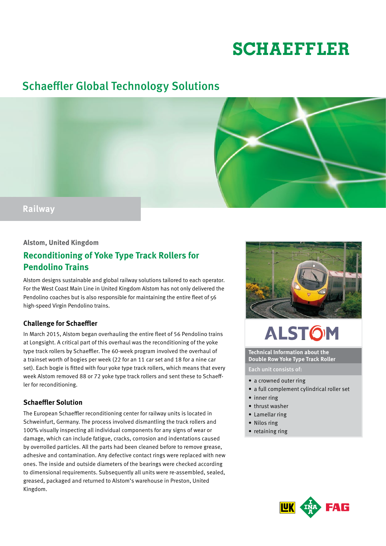# **SCHAEFFLER**

## Schaeffler Global Technology Solutions



### **Alstom, United Kingdom**

### **Reconditioning of Yoke Type Track Rollers for Pendolino Trains**

Alstom designs sustainable and global railway solutions tailored to each operator. For the West Coast Main Line in United Kingdom Alstom has not only delivered the Pendolino coaches but is also responsible for maintaining the entire fleet of 56 high-speed Virgin Pendolino trains.

#### **Challenge for Schaeffler**

In March 2015, Alstom began overhauling the entire fleet of 56 Pendolino trains at Longsight. A critical part of this overhaul was the reconditioning of the yoke type track rollers by Schaeffler. The 60-week program involved the overhaul of a trainset worth of bogies per week (22 for an 11 car set and 18 for a nine car set). Each bogie is fitted with four yoke type track rollers, which means that every week Alstom removed 88 or 72 yoke type track rollers and sent these to Schaeffler for reconditioning.

#### **Schaeffler Solution**

The European Schaeffler reconditioning center for railway units is located in Schweinfurt, Germany. The process involved dismantling the track rollers and 100% visually inspecting all individual components for any signs of wear or damage, which can include fatigue, cracks, corrosion and indentations caused by overrolled particles. All the parts had been cleaned before to remove grease, adhesive and contamination. Any defective contact rings were replaced with new ones. The inside and outside diameters of the bearings were checked according to dimensional requirements. Subsequently all units were re-assembled, sealed, greased, packaged and returned to Alstom's warehouse in Preston, United Kingdom.



# **ALSTOM**

**Technical Information about the Double Row Yoke Type Track Roller**

Each unit consists of:

- a crowned outer ring
- a full complement cylindrical roller set
- inner ring
- thrust washer
- • Lamellar ring
- Nilos ring
- retaining ring